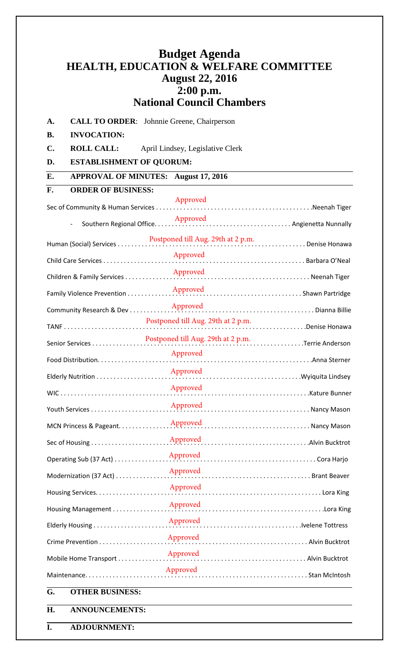## **Budget Agenda HEALTH, EDUCATION & WELFARE COMMITTEE August 22, 2016 2:00 p.m. National Council Chambers**

**A. CALL TO ORDER**: Johnnie Greene, Chairperson

**B. INVOCATION:**

**C. ROLL CALL:** April Lindsey, Legislative Clerk

**D. ESTABLISHMENT OF QUORUM:**

**E. APPROVAL OF MINUTES: August 17, 2016**

| F.                                                  | <b>ORDER OF BUSINESS:</b>                             |          |                                                                     |
|-----------------------------------------------------|-------------------------------------------------------|----------|---------------------------------------------------------------------|
|                                                     |                                                       | Approved |                                                                     |
|                                                     | Southern Regional Office.<br>$\overline{\phantom{0}}$ |          |                                                                     |
|                                                     |                                                       |          |                                                                     |
|                                                     |                                                       | Approved |                                                                     |
|                                                     | Children & Family Services                            |          |                                                                     |
|                                                     |                                                       |          |                                                                     |
|                                                     |                                                       |          |                                                                     |
| Postponed till Aug. 29th at 2 p.m.<br>Denise Honawa |                                                       |          |                                                                     |
|                                                     |                                                       |          |                                                                     |
|                                                     |                                                       | Approved |                                                                     |
|                                                     |                                                       |          |                                                                     |
|                                                     |                                                       | Approved |                                                                     |
|                                                     |                                                       |          |                                                                     |
|                                                     |                                                       |          |                                                                     |
|                                                     |                                                       |          |                                                                     |
|                                                     | Operating Sub (37 Act)                                |          | Approved<br>The Cora Harjo                                          |
|                                                     | Modernization (37 Act)                                | Approved | <b>Constitution of the Search Constitution of the Search Seaver</b> |
|                                                     |                                                       | Approved |                                                                     |
|                                                     |                                                       |          |                                                                     |
|                                                     |                                                       |          |                                                                     |
|                                                     |                                                       |          | Approved<br>Marian Marian Marian Maria Bucktrot                     |
|                                                     |                                                       |          |                                                                     |
| Approved                                            |                                                       |          |                                                                     |
| G.                                                  | <b>OTHER BUSINESS:</b>                                |          |                                                                     |

**H. ANNOUNCEMENTS:**

**I. ADJOURNMENT:**